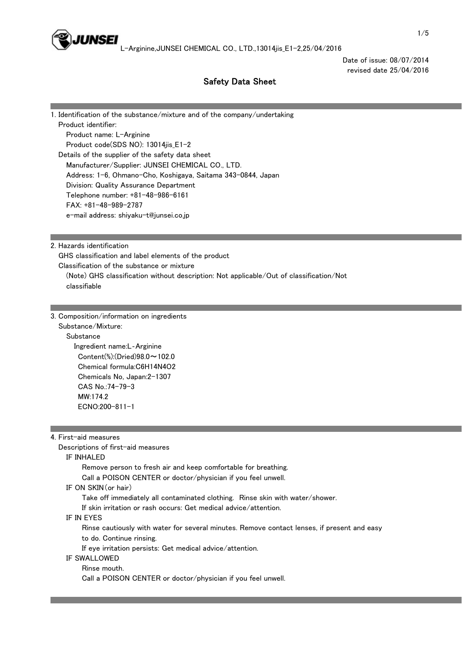

Date of issue: 08/07/2014 revised date 25/04/2016

# Safety Data Sheet

| 1. Identification of the substance/mixture and of the company/undertaking |
|---------------------------------------------------------------------------|
| Product identifier:                                                       |
| Product name: L-Arginine                                                  |
| Product code(SDS NO): 13014jis_E1-2                                       |
| Details of the supplier of the safety data sheet                          |
| Manufacturer/Supplier: JUNSEI CHEMICAL CO., LTD.                          |
| Address: 1-6, Ohmano-Cho, Koshigaya, Saitama 343-0844, Japan              |
| Division: Quality Assurance Department                                    |
| Telephone number: +81-48-986-6161                                         |
| $FAX: +81-48-989-2787$                                                    |
| e-mail address: shiyaku-t@junsei.co.jp                                    |

2. Hazards identification

 GHS classification and label elements of the product Classification of the substance or mixture (Note) GHS classification without description: Not applicable/Out of classification/Not classifiable

3. Composition/information on ingredients

 Substance/Mixture: **Substance**  Ingredient name:L‐Arginine Content(%):(Dried)98.0~102.0 Chemical formula:C6H14N4O2 Chemicals No, Japan:2-1307 CAS No.:74-79-3 MW·174.2 ECNO:200-811-1

4. First-aid measures

Descriptions of first-aid measures

#### IF INHALED

Remove person to fresh air and keep comfortable for breathing.

Call a POISON CENTER or doctor/physician if you feel unwell.

#### IF ON SKIN(or hair)

Take off immediately all contaminated clothing. Rinse skin with water/shower.

If skin irritation or rash occurs: Get medical advice/attention.

## IF IN EYES

 Rinse cautiously with water for several minutes. Remove contact lenses, if present and easy to do. Continue rinsing.

If eye irritation persists: Get medical advice/attention.

## IF SWALLOWED

Rinse mouth.

Call a POISON CENTER or doctor/physician if you feel unwell.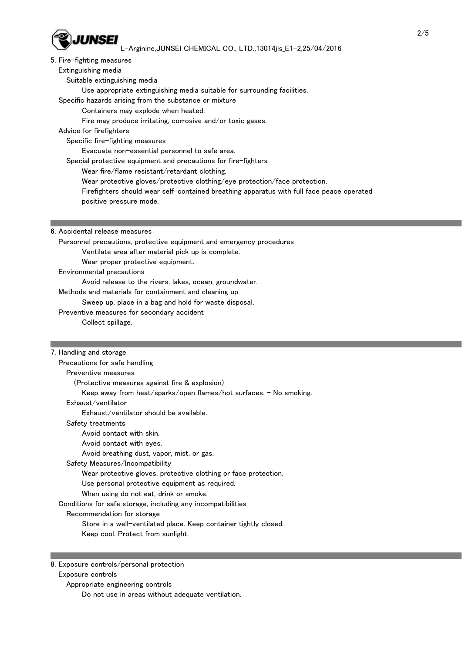

## 5. Fire-fighting measures

#### Extinguishing media

- Suitable extinguishing media
	- Use appropriate extinguishing media suitable for surrounding facilities.

#### Specific hazards arising from the substance or mixture

- Containers may explode when heated.
- Fire may produce irritating, corrosive and/or toxic gases.

## Advice for firefighters

Specific fire-fighting measures

Evacuate non-essential personnel to safe area.

- Special protective equipment and precautions for fire-fighters
	- Wear fire/flame resistant/retardant clothing.
	- Wear protective gloves/protective clothing/eye protection/face protection.
	- Firefighters should wear self-contained breathing apparatus with full face peace operated
	- positive pressure mode.

## 6. Accidental release measures

- Personnel precautions, protective equipment and emergency procedures Ventilate area after material pick up is complete.
	- Wear proper protective equipment.
- Environmental precautions
	- Avoid release to the rivers, lakes, ocean, groundwater.
- Methods and materials for containment and cleaning up
	- Sweep up, place in a bag and hold for waste disposal.
- Preventive measures for secondary accident
	- Collect spillage.

## 7. Handling and storage

| Precautions for safe handling                                      |
|--------------------------------------------------------------------|
| Preventive measures                                                |
| (Protective measures against fire & explosion)                     |
| Keep away from heat/sparks/open flames/hot surfaces. - No smoking. |
| Exhaust/ventilator                                                 |
| Exhaust/ventilator should be available.                            |
| Safety treatments                                                  |
| Avoid contact with skin.                                           |
| Avoid contact with eyes.                                           |
| Avoid breathing dust, vapor, mist, or gas.                         |
| Safety Measures/Incompatibility                                    |
| Wear protective gloves, protective clothing or face protection.    |
| Use personal protective equipment as required.                     |
| When using do not eat, drink or smoke.                             |
| Conditions for safe storage, including any incompatibilities       |
| Recommendation for storage                                         |
| Store in a well-ventilated place. Keep container tightly closed.   |
| Keep cool. Protect from sunlight.                                  |

8. Exposure controls/personal protection

## Exposure controls

- Appropriate engineering controls
	- Do not use in areas without adequate ventilation.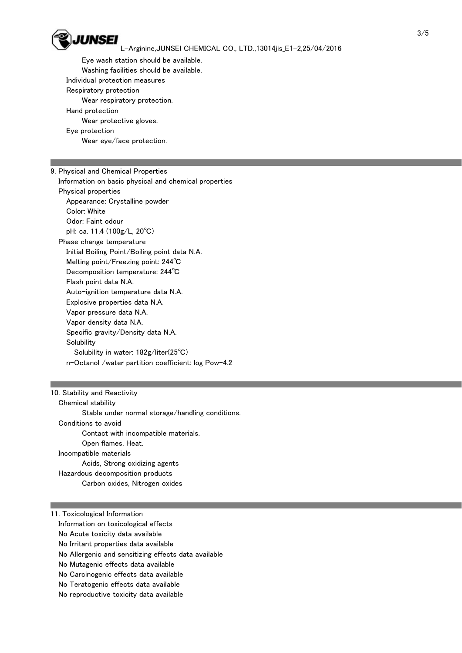

 Eye wash station should be available. Washing facilities should be available. Individual protection measures Respiratory protection Wear respiratory protection. Hand protection Wear protective gloves. Eye protection Wear eye/face protection.

9. Physical and Chemical Properties

 Information on basic physical and chemical properties Physical properties Appearance: Crystalline powder Color: White Odor: Faint odour pH: ca. 11.4 (100g/L, 20℃) Phase change temperature Initial Boiling Point/Boiling point data N.A. Melting point/Freezing point: 244℃ Decomposition temperature: 244℃ Flash point data N.A. Auto-ignition temperature data N.A. Explosive properties data N.A. Vapor pressure data N.A. Vapor density data N.A. Specific gravity/Density data N.A. **Solubility**  Solubility in water: 182g/liter(25℃) n-Octanol /water partition coefficient: log Pow-4.2

10. Stability and Reactivity Chemical stability Stable under normal storage/handling conditions. Conditions to avoid Contact with incompatible materials. Open flames. Heat. Incompatible materials Acids, Strong oxidizing agents Hazardous decomposition products Carbon oxides, Nitrogen oxides

11. Toxicological Information Information on toxicological effects No Acute toxicity data available No Irritant properties data available No Allergenic and sensitizing effects data available No Mutagenic effects data available No Carcinogenic effects data available No Teratogenic effects data available No reproductive toxicity data available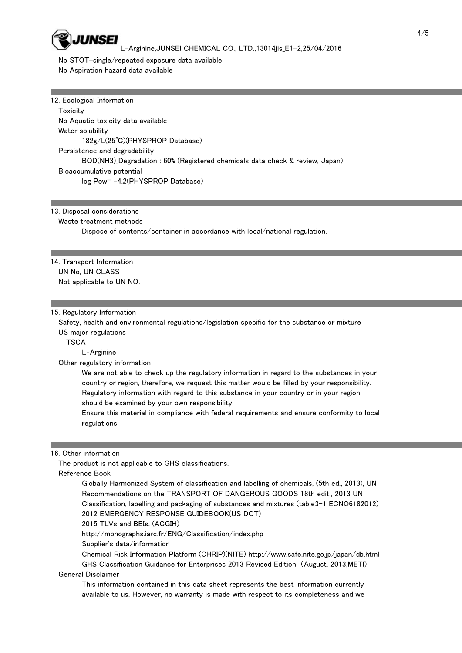

 No STOT-single/repeated exposure data available No Aspiration hazard data available

12. Ecological Information **Toxicity**  No Aquatic toxicity data available Water solubility 182g/L(25℃)(PHYSPROP Database) Persistence and degradability BOD(NH3)\_Degradation : 60% (Registered chemicals data check & review, Japan) Bioaccumulative potential log Pow= -4.2(PHYSPROP Database)

## 13. Disposal considerations

#### Waste treatment methods

Dispose of contents/container in accordance with local/national regulation.

14. Transport Information UN No, UN CLASS Not applicable to UN NO.

#### 15. Regulatory Information

 Safety, health and environmental regulations/legislation specific for the substance or mixture US major regulations

**TSCA** 

L‐Arginine

Other regulatory information

 We are not able to check up the regulatory information in regard to the substances in your country or region, therefore, we request this matter would be filled by your responsibility. Regulatory information with regard to this substance in your country or in your region should be examined by your own responsibility.

 Ensure this material in compliance with federal requirements and ensure conformity to local regulations.

#### 16. Other information

The product is not applicable to GHS classifications.

Reference Book

 Globally Harmonized System of classification and labelling of chemicals, (5th ed., 2013), UN Recommendations on the TRANSPORT OF DANGEROUS GOODS 18th edit., 2013 UN Classification, labelling and packaging of substances and mixtures (table3-1 ECNO6182012) 2012 EMERGENCY RESPONSE GUIDEBOOK(US DOT)

2015 TLVs and BEIs. (ACGIH)

http://monographs.iarc.fr/ENG/Classification/index.php

Supplier's data/information

 Chemical Risk Information Platform (CHRIP)(NITE) http://www.safe.nite.go.jp/japan/db.html GHS Classification Guidance for Enterprises 2013 Revised Edition (August, 2013,METI)

## General Disclaimer

 This information contained in this data sheet represents the best information currently available to us. However, no warranty is made with respect to its completeness and we